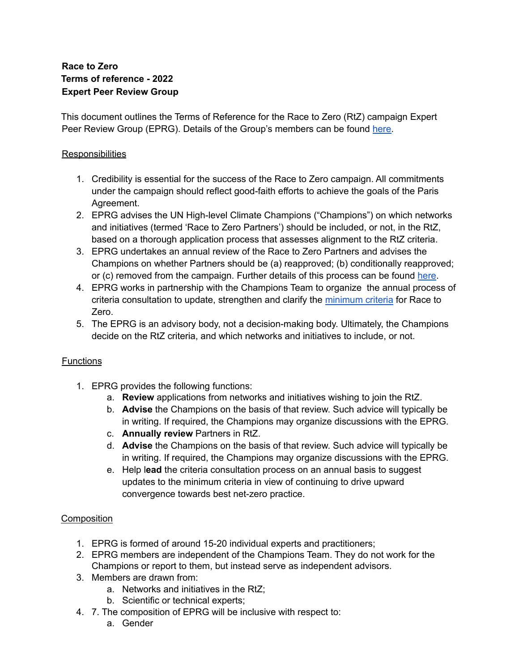# **Race to Zero Terms of reference - 2022 Expert Peer Review Group**

This document outlines the Terms of Reference for the Race to Zero (RtZ) campaign Expert Peer Review Group (EPRG). Details of the Group's members can be found [here.](https://racetozero.unfccc.int/expert-peer-review-group/)

## **Responsibilities**

- 1. Credibility is essential for the success of the Race to Zero campaign. All commitments under the campaign should reflect good-faith efforts to achieve the goals of the Paris Agreement.
- 2. EPRG advises the UN High-level Climate Champions ("Champions") on which networks and initiatives (termed 'Race to Zero Partners') should be included, or not, in the RtZ, based on a thorough application process that assesses alignment to the RtZ criteria.
- 3. EPRG undertakes an annual review of the Race to Zero Partners and advises the Champions on whether Partners should be (a) reapproved; (b) conditionally reapproved; or (c) removed from the campaign. Further details of this process can be found [here.](https://docs.google.com/document/d/1Vo9cqFHKecTbm7WbuSSF2IUcsdLJvBeeE5tr7xNat0I/edit)
- 4. EPRG works in partnership with the Champions Team to organize the annual process of criteria consultation to update, strengthen and clarify the [minimum](https://racetozero.unfccc.int/wp-content/uploads/2021/04/Race-to-Zero-Criteria-2.0.pdf) criteria for Race to Zero.
- 5. The EPRG is an advisory body, not a decision-making body. Ultimately, the Champions decide on the RtZ criteria, and which networks and initiatives to include, or not.

# **Functions**

- 1. EPRG provides the following functions:
	- a. **Review** applications from networks and initiatives wishing to join the RtZ.
	- b. **Advise** the Champions on the basis of that review. Such advice will typically be in writing. If required, the Champions may organize discussions with the EPRG.
	- c. **Annually review** Partners in RtZ.
	- d. **Advise** the Champions on the basis of that review. Such advice will typically be in writing. If required, the Champions may organize discussions with the EPRG.
	- e. Help l**ead** the criteria consultation process on an annual basis to suggest updates to the minimum criteria in view of continuing to drive upward convergence towards best net-zero practice.

# Composition

- 1. EPRG is formed of around 15-20 individual experts and practitioners;
- 2. EPRG members are independent of the Champions Team. They do not work for the Champions or report to them, but instead serve as independent advisors.
- 3. Members are drawn from:
	- a. Networks and initiatives in the RtZ;
	- b. Scientific or technical experts;
- 4. 7. The composition of EPRG will be inclusive with respect to:
	- a. Gender